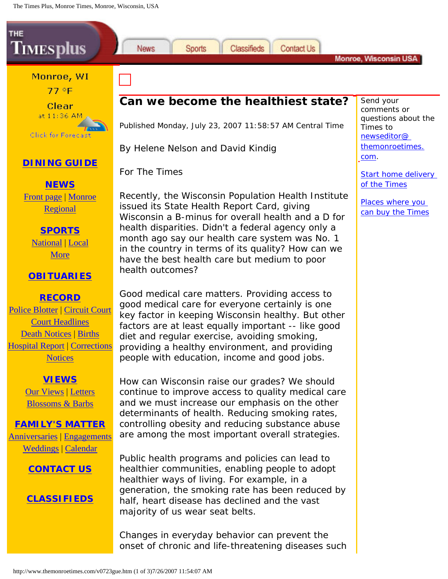

#### Monroe, WI 77 °F

**Clear** at 11:36 AM **Click for Forecast** 

# **[DINING GUIDE](http://www.gazetteextra.com/diningout/main.html)**

**[NEWS](http://www.themonroetimes.com/news.html)** [Front page](http://www.themonroetimes.com/news.html#frontpage) | [Monroe](http://www.themonroetimes.com/news.html#monroe) [Regional](http://www.themonroetimes.com/news.html#frontpage)

**[SPORTS](http://www.themonroetimes.com/sports.html)** [National](http://www.themonroetimes.com/sports.html) | [Local](http://www.themonroetimes.com/sports.html) [More](http://www.themonroetimes.com/sports.html)

### **[OBITUARIES](http://www.themonroetimes.com/obits.html)**

### **[RECORD](http://www.themonroetimes.com/record.html)**

[Police Blotter](http://www.themonroetimes.com/record.html#policeblotter) | [Circuit Court](http://www.themonroetimes.com/record.html#circuitcourt) [Court Headlines](http://www.themonroetimes.com/record.html#courtheadlines) [Death Notices](http://www.themonroetimes.com/record.html#policeblotter) | [Births](http://www.themonroetimes.com/record.html#births) [Hospital Report](http://www.themonroetimes.com/record.html#hospital) | [Corrections](http://www.themonroetimes.com/record.html#corrections) **[Notices](http://www.themonroetimes.com/record.html#notices)** 

> **[VIEWS](http://www.themonroetimes.com/views.html)** [Our Views](http://www.themonroetimes.com/views.html#ourviews) | [Letters](http://www.themonroetimes.com/views.html#letterstoeditor) [Blossoms & Barbs](http://www.themonroetimes.com/views.html#blossoms)

**[FAMILY'S MATTER](http://www.themonroetimes.com/family.html)** [Anniversaries](http://www.themonroetimes.com/family.html#anniversaries) | [Engagements](http://www.themonroetimes.com/family.html#engagements)

[Weddings](http://www.themonroetimes.com/family.html#weddings) | [Calendar](http://www.themonroetimes.com/family.html#calendar)

## **[CONTACT US](http://www.themonroetimes.com/contact.html)**

## **[CLASSIFIEDS](http://www.themonroetimes.com/classifieds/index.html)**



Classifieds

**Contact Us** 

Published Monday, July 23, 2007 11:58:57 AM Central Time

By Helene Nelson and David Kindig

**Sports** 

For The Times

**News** 

Recently, the Wisconsin Population Health Institute issued its State Health Report Card, giving Wisconsin a B-minus for overall health and a D for health disparities. Didn't a federal agency only a month ago say our health care system was No. 1 in the country in terms of its quality? How can we have the best health care but medium to poor health outcomes?

Good medical care matters. Providing access to good medical care for everyone certainly is one key factor in keeping Wisconsin healthy. But other factors are at least equally important -- like good diet and regular exercise, avoiding smoking, providing a healthy environment, and providing people with education, income and good jobs.

How can Wisconsin raise our grades? We should continue to improve access to quality medical care and we must increase our emphasis on the other determinants of health. Reducing smoking rates, controlling obesity and reducing substance abuse are among the most important overall strategies.

Public health programs and policies can lead to healthier communities, enabling people to adopt healthier ways of living. For example, in a generation, the smoking rate has been reduced by half, heart disease has declined and the vast majority of us wear seat belts.

Changes in everyday behavior can prevent the onset of chronic and life-threatening diseases such Send your comments or questions about the Times to [newseditor@](mailto:newseditor@themonroetimes.com)  [themonroetimes.](mailto:newseditor@themonroetimes.com) [com](mailto:newseditor@themonroetimes.com).

Monroe, Wisconsin USA

[Start home delivery](http://www.themonroetimes.com/subscription.html) [of the Times](http://www.themonroetimes.com/subscription.html)

[Places where you](http://www.themonroetimes.com/dealers.html) [can buy the Times](http://www.themonroetimes.com/dealers.html)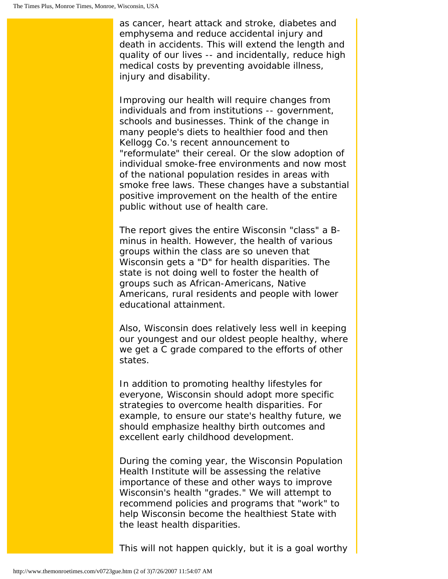as cancer, heart attack and stroke, diabetes and emphysema and reduce accidental injury and death in accidents. This will extend the length and quality of our lives -- and incidentally, reduce high medical costs by preventing avoidable illness, injury and disability.

Improving our health will require changes from individuals and from institutions -- government, schools and businesses. Think of the change in many people's diets to healthier food and then Kellogg Co.'s recent announcement to "reformulate" their cereal. Or the slow adoption of individual smoke-free environments and now most of the national population resides in areas with smoke free laws. These changes have a substantial positive improvement on the health of the entire public without use of health care.

The report gives the entire Wisconsin "class" a Bminus in health. However, the health of various groups within the class are so uneven that Wisconsin gets a "D" for health disparities. The state is not doing well to foster the health of groups such as African-Americans, Native Americans, rural residents and people with lower educational attainment.

Also, Wisconsin does relatively less well in keeping our youngest and our oldest people healthy, where we get a C grade compared to the efforts of other states.

In addition to promoting healthy lifestyles for everyone, Wisconsin should adopt more specific strategies to overcome health disparities. For example, to ensure our state's healthy future, we should emphasize healthy birth outcomes and excellent early childhood development.

During the coming year, the Wisconsin Population Health Institute will be assessing the relative importance of these and other ways to improve Wisconsin's health "grades." We will attempt to recommend policies and programs that "work" to help Wisconsin become the healthiest State with the least health disparities.

This will not happen quickly, but it is a goal worthy